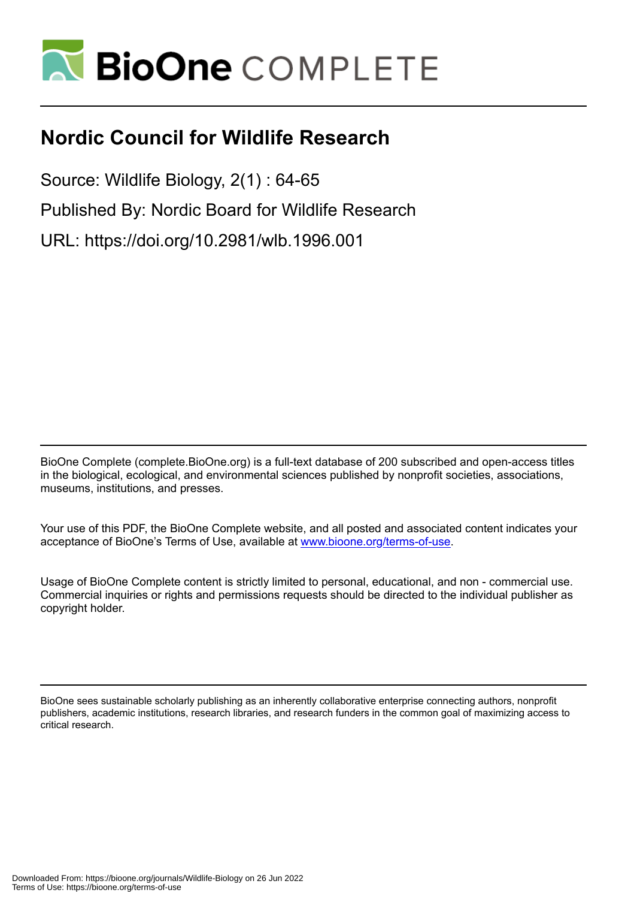

### **Nordic Council for Wildlife Research**

Source: Wildlife Biology, 2(1) : 64-65 Published By: Nordic Board for Wildlife Research URL: https://doi.org/10.2981/wlb.1996.001

BioOne Complete (complete.BioOne.org) is a full-text database of 200 subscribed and open-access titles in the biological, ecological, and environmental sciences published by nonprofit societies, associations, museums, institutions, and presses.

Your use of this PDF, the BioOne Complete website, and all posted and associated content indicates your acceptance of BioOne's Terms of Use, available at www.bioone.org/terms-of-use.

Usage of BioOne Complete content is strictly limited to personal, educational, and non - commercial use. Commercial inquiries or rights and permissions requests should be directed to the individual publisher as copyright holder.

BioOne sees sustainable scholarly publishing as an inherently collaborative enterprise connecting authors, nonprofit publishers, academic institutions, research libraries, and research funders in the common goal of maximizing access to critical research.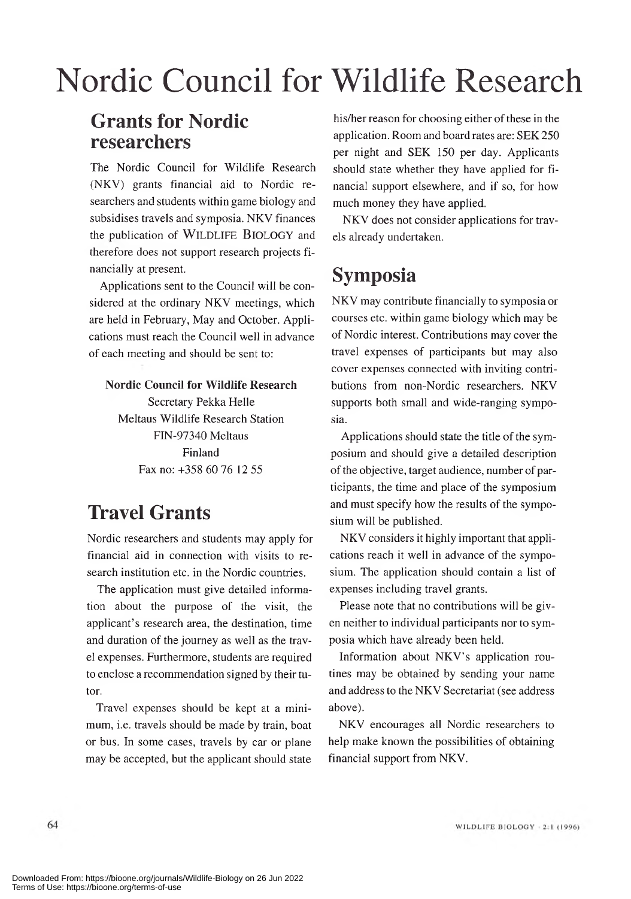# Nordic Council for Wildlife Research

#### **Grants for Nordic researchers**

The Nordic Council for Wildlife Research (NKV) grants financial aid to Nordic researchers and students within game biology and subsidises travels and symposia. NKV finances the publication of WILDLIFE BIOLOGY and therefore does not support research projects financially at present.

Applications sent to the Council will be considered at the ordinary NKV meetings, which are held in February, May and October. Applications must reach the Council well in advance of each meeting and should be sent to:

#### **Nordic Council for Wildlife Research**

Secretary Pekka Helle Meltaus Wildlife Research Station FIN-97340 Meltaus Finland Fax no: +358 60 76 12 55

#### **Travel Grants**

Nordic researchers and students may apply for financial aid in connection with visits to research institution etc. in the Nordic countries.

The application must give detailed information about the purpose of the visit, the applicant's research area, the destination, time and duration of the journey as well as the travel expenses. Furthermore, students are required to enclose a recommendation signed by their tutor.

Travel expenses should be kept at a minimum, i.e. travels should be made by train, boat or bus. In some cases, travels by car or plane may be accepted, but the applicant should state

his/her reason for choosing either of these in the application. Room and board rates are: SEK 250 per night and SEK 150 per day. Applicants should state whether they have applied for financial support elsewhere, and if so, for how much money they have applied.

NKV does not consider applications for travels already undertaken.

#### **Symposia**

NKV may contribute financially to symposia or courses etc. within game biology which may be of Nordic interest. Contributions may cover the travel expenses of participants but may also cover expenses connected with inviting contributions from non-Nordic researchers. NKV supports both small and wide-ranging symposia.

Applications should state the title of the symposium and should give a detailed description of the objective, target audience, num ber of participants, the time and place of the symposium and must specify how the results of the symposium will be published.

NKV considers it highly important that applications reach it well in advance of the symposium. The application should contain a list of expenses including travel grants.

Please note that no contributions will be given neither to individual participants nor to symposia which have already been held.

Information about NKV's application routines may be obtained by sending your name and address to the NKV Secretariat (see address above).

NKV encourages all Nordic researchers to help make known the possibilities of obtaining financial support from NKV.